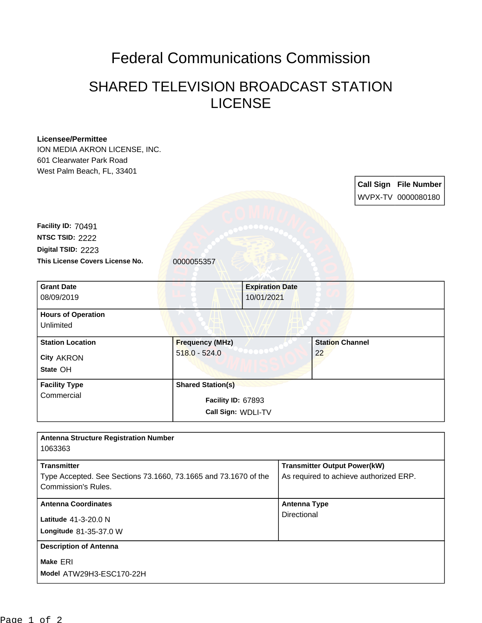## Federal Communications Commission

## SHARED TELEVISION BROADCAST STATION LICENSE

## **Licensee/Permittee**

ION MEDIA AKRON LICENSE, INC. 601 Clearwater Park Road West Palm Beach, FL, 33401

> **Call Sign File Number** WVPX-TV 0000080180

This License Covers License No. **0000055357 Digital TSID:** 2223 **NTSC TSID:** 2222 **Facility ID:** 70491

| <b>Grant Date</b>         |                          | <b>Expiration Date</b> |                        |  |
|---------------------------|--------------------------|------------------------|------------------------|--|
| 08/09/2019                |                          | 10/01/2021             |                        |  |
| <b>Hours of Operation</b> |                          |                        |                        |  |
| Unlimited                 |                          |                        |                        |  |
| <b>Station Location</b>   | <b>Frequency (MHz)</b>   |                        | <b>Station Channel</b> |  |
| <b>City AKRON</b>         | $518.0 - 524.0$          |                        | 22                     |  |
| State OH                  |                          |                        |                        |  |
| <b>Facility Type</b>      | <b>Shared Station(s)</b> |                        |                        |  |
| Commercial                |                          | Facility ID: 67893     |                        |  |
|                           |                          | Call Sign: WDLI-TV     |                        |  |

| <b>Antenna Structure Registration Number</b>                                                                 |                                                                               |
|--------------------------------------------------------------------------------------------------------------|-------------------------------------------------------------------------------|
| 1063363                                                                                                      |                                                                               |
| <b>Transmitter</b><br>Type Accepted. See Sections 73.1660, 73.1665 and 73.1670 of the<br>Commission's Rules. | <b>Transmitter Output Power(kW)</b><br>As required to achieve authorized ERP. |
| <b>Antenna Coordinates</b><br>Latitude 41-3-20.0 N<br>Longitude 81-35-37.0 W                                 | <b>Antenna Type</b><br>Directional                                            |
| <b>Description of Antenna</b><br>Make ERI<br>Model ATW29H3-ESC170-22H                                        |                                                                               |